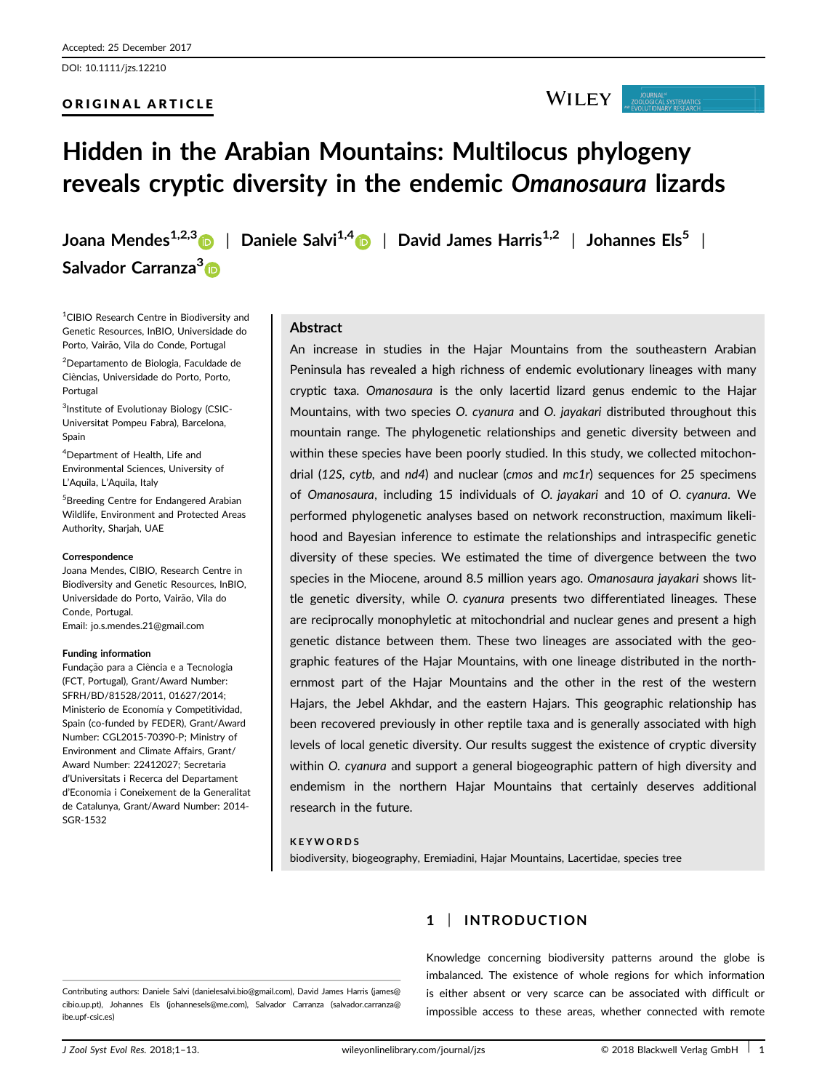## ORIGINAL ARTICLE

# Hidden in the Arabian Mountains: Multilocus phylogeny reveals cryptic diversity in the endemic Omanosaura lizards

Salvador Carranza<sup>[3](http://orcid.org/0000-0002-5378-3008)</sup>D

Joana Mendes<sup>1,2,3</sup> | Daniele Salvi<sup>1,[4](http://orcid.org/0000-0002-3804-2690)</sup> | David James Harris<sup>1,2</sup> | Johannes Els<sup>5</sup> |

<sup>1</sup>CIBIO Research Centre in Biodiversity and Genetic Resources, InBIO, Universidade do Porto, Vairão, Vila do Conde, Portugal 2 Departamento de Biologia, Faculdade de

Ciencias, Universidade do Porto, Porto, ^ Portugal

<sup>3</sup>Institute of Evolutionay Biology (CSIC-Universitat Pompeu Fabra), Barcelona, Spain

4 Department of Health, Life and Environmental Sciences, University of L'Aquila, L'Aquila, Italy

5 Breeding Centre for Endangered Arabian Wildlife, Environment and Protected Areas Authority, Sharjah, UAE

#### Correspondence

Joana Mendes, CIBIO, Research Centre in Biodiversity and Genetic Resources, InBIO, Universidade do Porto, Vairão, Vila do Conde, Portugal. Email: jo.s.mendes.21@gmail.com

#### Funding information

Fundação para a Ciência e a Tecnologia (FCT, Portugal), Grant/Award Number: SFRH/BD/81528/2011, 01627/2014; Ministerio de Economía y Competitividad, Spain (co-funded by FEDER), Grant/Award Number: CGL2015-70390-P; Ministry of Environment and Climate Affairs, Grant/ Award Number: 22412027; Secretaria d'Universitats i Recerca del Departament d'Economia i Coneixement de la Generalitat de Catalunya, Grant/Award Number: 2014- SGR-1532

# Abstract

An increase in studies in the Hajar Mountains from the southeastern Arabian Peninsula has revealed a high richness of endemic evolutionary lineages with many cryptic taxa. Omanosaura is the only lacertid lizard genus endemic to the Hajar Mountains, with two species O. cyanura and O. jayakari distributed throughout this mountain range. The phylogenetic relationships and genetic diversity between and within these species have been poorly studied. In this study, we collected mitochondrial (12S, cytb, and nd4) and nuclear (cmos and  $mc1r$ ) sequences for 25 specimens of Omanosaura, including 15 individuals of O. jayakari and 10 of O. cyanura. We performed phylogenetic analyses based on network reconstruction, maximum likelihood and Bayesian inference to estimate the relationships and intraspecific genetic diversity of these species. We estimated the time of divergence between the two species in the Miocene, around 8.5 million years ago. Omanosaura jayakari shows little genetic diversity, while O. cyanura presents two differentiated lineages. These are reciprocally monophyletic at mitochondrial and nuclear genes and present a high genetic distance between them. These two lineages are associated with the geographic features of the Hajar Mountains, with one lineage distributed in the northernmost part of the Hajar Mountains and the other in the rest of the western Hajars, the Jebel Akhdar, and the eastern Hajars. This geographic relationship has been recovered previously in other reptile taxa and is generally associated with high levels of local genetic diversity. Our results suggest the existence of cryptic diversity within O. cyanura and support a general biogeographic pattern of high diversity and endemism in the northern Hajar Mountains that certainly deserves additional research in the future.

#### **KEYWORDS**

biodiversity, biogeography, Eremiadini, Hajar Mountains, Lacertidae, species tree

Contributing authors: Daniele Salvi (danielesalvi.bio@gmail.com), David James Harris (james@ cibio.up.pt), Johannes Els (johannesels@me.com), Salvador Carranza (salvador.carranza@ ibe.upf-csic.es)

# 1 | INTRODUCTION

Knowledge concerning biodiversity patterns around the globe is imbalanced. The existence of whole regions for which information is either absent or very scarce can be associated with difficult or impossible access to these areas, whether connected with remote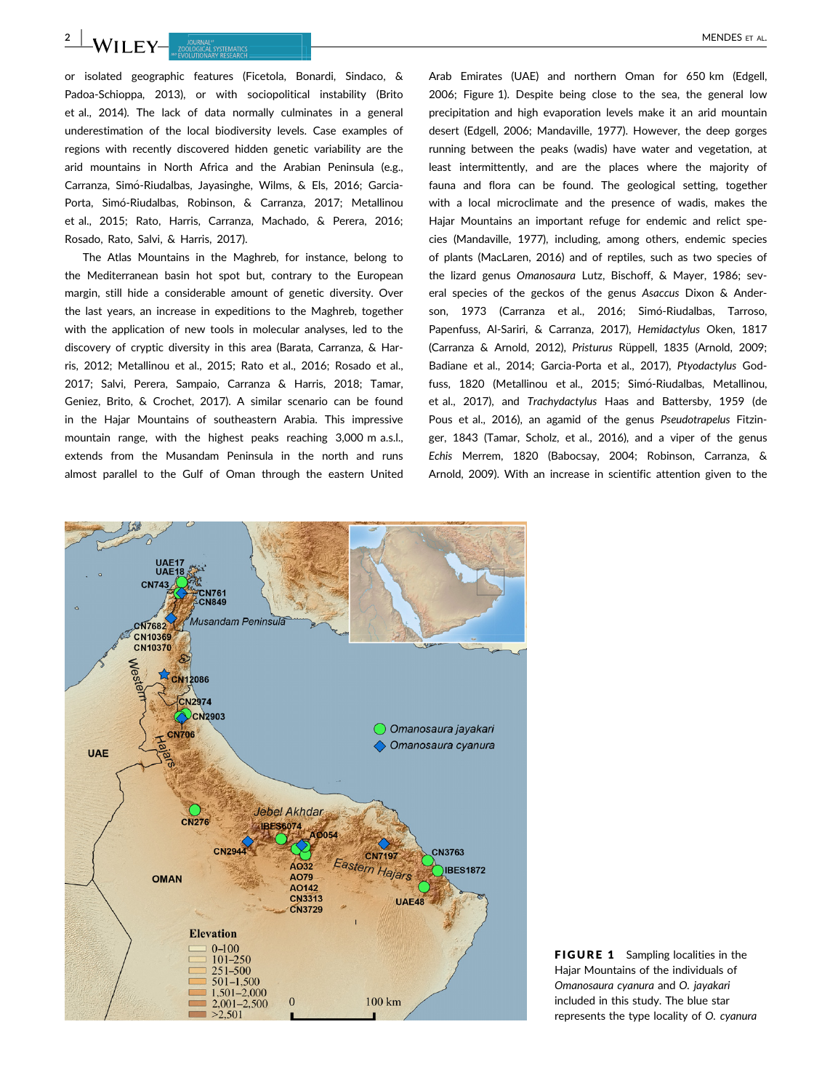or isolated geographic features (Ficetola, Bonardi, Sindaco, & Padoa-Schioppa, 2013), or with sociopolitical instability (Brito et al., 2014). The lack of data normally culminates in a general underestimation of the local biodiversity levels. Case examples of regions with recently discovered hidden genetic variability are the arid mountains in North Africa and the Arabian Peninsula (e.g., Carranza, Simó-Riudalbas, Jayasinghe, Wilms, & Els, 2016; Garcia-Porta, Simó-Riudalbas, Robinson, & Carranza, 2017; Metallinou et al., 2015; Rato, Harris, Carranza, Machado, & Perera, 2016; Rosado, Rato, Salvi, & Harris, 2017).

The Atlas Mountains in the Maghreb, for instance, belong to the Mediterranean basin hot spot but, contrary to the European margin, still hide a considerable amount of genetic diversity. Over the last years, an increase in expeditions to the Maghreb, together with the application of new tools in molecular analyses, led to the discovery of cryptic diversity in this area (Barata, Carranza, & Harris, 2012; Metallinou et al., 2015; Rato et al., 2016; Rosado et al., 2017; Salvi, Perera, Sampaio, Carranza & Harris, 2018; Tamar, Geniez, Brito, & Crochet, 2017). A similar scenario can be found in the Hajar Mountains of southeastern Arabia. This impressive mountain range, with the highest peaks reaching 3,000 m a.s.l., extends from the Musandam Peninsula in the north and runs almost parallel to the Gulf of Oman through the eastern United Arab Emirates (UAE) and northern Oman for 650 km (Edgell, 2006; Figure 1). Despite being close to the sea, the general low precipitation and high evaporation levels make it an arid mountain desert (Edgell, 2006; Mandaville, 1977). However, the deep gorges running between the peaks (wadis) have water and vegetation, at least intermittently, and are the places where the majority of fauna and flora can be found. The geological setting, together with a local microclimate and the presence of wadis, makes the Hajar Mountains an important refuge for endemic and relict species (Mandaville, 1977), including, among others, endemic species of plants (MacLaren, 2016) and of reptiles, such as two species of the lizard genus Omanosaura Lutz, Bischoff, & Mayer, 1986; several species of the geckos of the genus Asaccus Dixon & Anderson, 1973 (Carranza et al., 2016; Simó-Riudalbas, Tarroso, Papenfuss, Al-Sariri, & Carranza, 2017), Hemidactylus Oken, 1817 (Carranza & Arnold, 2012), Pristurus Rüppell, 1835 (Arnold, 2009; Badiane et al., 2014; Garcia-Porta et al., 2017), Ptyodactylus Godfuss, 1820 (Metallinou et al., 2015; Simó-Riudalbas, Metallinou, et al., 2017), and Trachydactylus Haas and Battersby, 1959 (de Pous et al., 2016), an agamid of the genus Pseudotrapelus Fitzinger, 1843 (Tamar, Scholz, et al., 2016), and a viper of the genus Echis Merrem, 1820 (Babocsay, 2004; Robinson, Carranza, & Arnold, 2009). With an increase in scientific attention given to the



FIGURE 1 Sampling localities in the Hajar Mountains of the individuals of Omanosaura cyanura and O. jayakari included in this study. The blue star represents the type locality of O. cyanura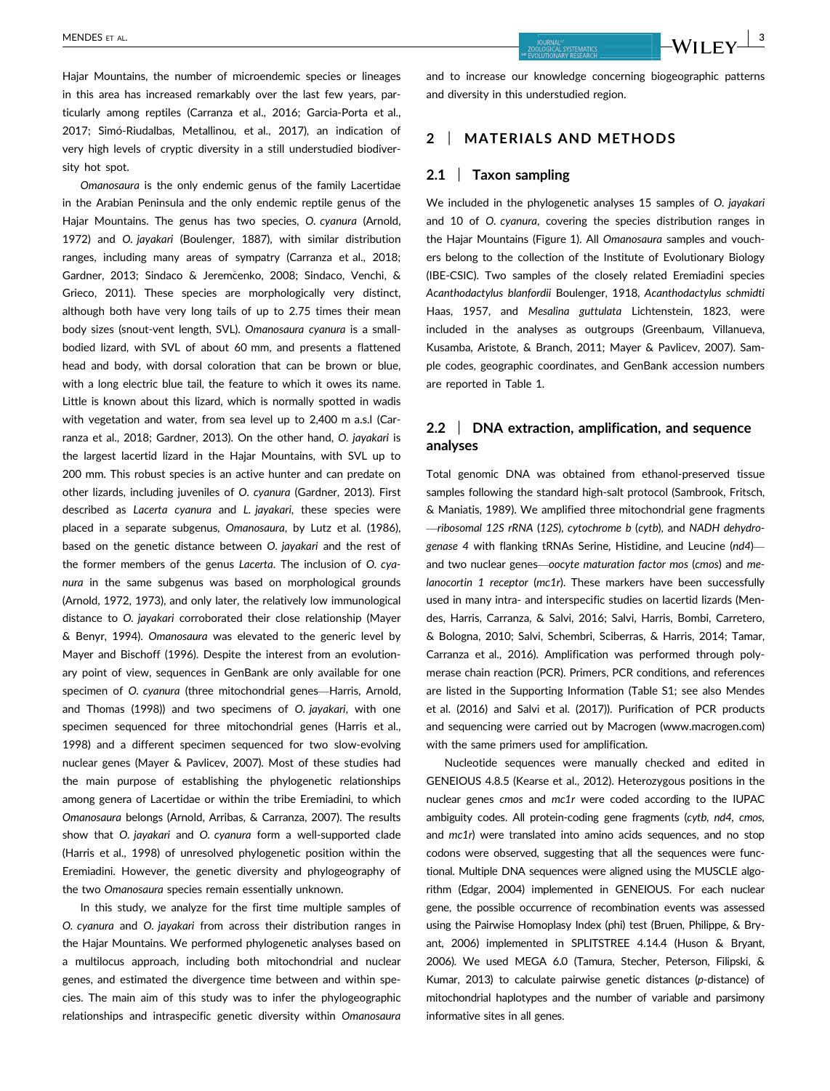Hajar Mountains, the number of microendemic species or lineages in this area has increased remarkably over the last few years, particularly among reptiles (Carranza et al., 2016; Garcia-Porta et al., 2017; Simó-Riudalbas, Metallinou, et al., 2017), an indication of very high levels of cryptic diversity in a still understudied biodiversity hot spot.

Omanosaura is the only endemic genus of the family Lacertidae in the Arabian Peninsula and the only endemic reptile genus of the Hajar Mountains. The genus has two species, O. cyanura (Arnold, 1972) and O. jayakari (Boulenger, 1887), with similar distribution ranges, including many areas of sympatry (Carranza et al., 2018; Gardner, 2013; Sindaco & Jeremčenko, 2008; Sindaco, Venchi, & Grieco, 2011). These species are morphologically very distinct, although both have very long tails of up to 2.75 times their mean body sizes (snout-vent length, SVL). Omanosaura cyanura is a smallbodied lizard, with SVL of about 60 mm, and presents a flattened head and body, with dorsal coloration that can be brown or blue, with a long electric blue tail, the feature to which it owes its name. Little is known about this lizard, which is normally spotted in wadis with vegetation and water, from sea level up to 2,400 m a.s.l (Carranza et al., 2018; Gardner, 2013). On the other hand, O. jayakari is the largest lacertid lizard in the Hajar Mountains, with SVL up to 200 mm. This robust species is an active hunter and can predate on other lizards, including juveniles of O. cyanura (Gardner, 2013). First described as Lacerta cyanura and L. jayakari, these species were placed in a separate subgenus, Omanosaura, by Lutz et al. (1986), based on the genetic distance between O. jayakari and the rest of the former members of the genus Lacerta. The inclusion of O. cyanura in the same subgenus was based on morphological grounds (Arnold, 1972, 1973), and only later, the relatively low immunological distance to O. jayakari corroborated their close relationship (Mayer & Benyr, 1994). Omanosaura was elevated to the generic level by Mayer and Bischoff (1996). Despite the interest from an evolutionary point of view, sequences in GenBank are only available for one specimen of O. cyanura (three mitochondrial genes—Harris, Arnold, and Thomas (1998)) and two specimens of O. jayakari, with one specimen sequenced for three mitochondrial genes (Harris et al., 1998) and a different specimen sequenced for two slow-evolving nuclear genes (Mayer & Pavlicev, 2007). Most of these studies had the main purpose of establishing the phylogenetic relationships among genera of Lacertidae or within the tribe Eremiadini, to which Omanosaura belongs (Arnold, Arribas, & Carranza, 2007). The results show that O. jayakari and O. cyanura form a well-supported clade (Harris et al., 1998) of unresolved phylogenetic position within the Eremiadini. However, the genetic diversity and phylogeography of the two Omanosaura species remain essentially unknown.

In this study, we analyze for the first time multiple samples of O. cyanura and O. jayakari from across their distribution ranges in the Hajar Mountains. We performed phylogenetic analyses based on a multilocus approach, including both mitochondrial and nuclear genes, and estimated the divergence time between and within species. The main aim of this study was to infer the phylogeographic relationships and intraspecific genetic diversity within Omanosaura and to increase our knowledge concerning biogeographic patterns and diversity in this understudied region.

#### 2 | MATERIALS AND METHODS

#### 2.1 | Taxon sampling

We included in the phylogenetic analyses 15 samples of O. jayakari and 10 of O. cyanura, covering the species distribution ranges in the Hajar Mountains (Figure 1). All Omanosaura samples and vouchers belong to the collection of the Institute of Evolutionary Biology (IBE-CSIC). Two samples of the closely related Eremiadini species Acanthodactylus blanfordii Boulenger, 1918, Acanthodactylus schmidti Haas, 1957, and Mesalina guttulata Lichtenstein, 1823, were included in the analyses as outgroups (Greenbaum, Villanueva, Kusamba, Aristote, & Branch, 2011; Mayer & Pavlicev, 2007). Sample codes, geographic coordinates, and GenBank accession numbers are reported in Table 1.

# 2.2 | DNA extraction, amplification, and sequence analyses

Total genomic DNA was obtained from ethanol-preserved tissue samples following the standard high-salt protocol (Sambrook, Fritsch, & Maniatis, 1989). We amplified three mitochondrial gene fragments —ribosomal 12S rRNA (12S), cytochrome b (cytb), and NADH dehydrogenase 4 with flanking tRNAs Serine, Histidine, and Leucine (nd4) and two nuclear genes—oocyte maturation factor mos (cmos) and melanocortin 1 receptor (mc1r). These markers have been successfully used in many intra- and interspecific studies on lacertid lizards (Mendes, Harris, Carranza, & Salvi, 2016; Salvi, Harris, Bombi, Carretero, & Bologna, 2010; Salvi, Schembri, Sciberras, & Harris, 2014; Tamar, Carranza et al., 2016). Amplification was performed through polymerase chain reaction (PCR). Primers, PCR conditions, and references are listed in the Supporting Information (Table S1; see also Mendes et al. (2016) and Salvi et al. (2017)). Purification of PCR products and sequencing were carried out by Macrogen ([www.macrogen.com\)](http://www.macrogen.com) with the same primers used for amplification.

Nucleotide sequences were manually checked and edited in GENEIOUS 4.8.5 (Kearse et al., 2012). Heterozygous positions in the nuclear genes cmos and mc1r were coded according to the IUPAC ambiguity codes. All protein-coding gene fragments (cytb, nd4, cmos, and mc1r) were translated into amino acids sequences, and no stop codons were observed, suggesting that all the sequences were functional. Multiple DNA sequences were aligned using the MUSCLE algorithm (Edgar, 2004) implemented in GENEIOUS. For each nuclear gene, the possible occurrence of recombination events was assessed using the Pairwise Homoplasy Index (phi) test (Bruen, Philippe, & Bryant, 2006) implemented in SPLITSTREE 4.14.4 (Huson & Bryant, 2006). We used MEGA 6.0 (Tamura, Stecher, Peterson, Filipski, & Kumar, 2013) to calculate pairwise genetic distances (p-distance) of mitochondrial haplotypes and the number of variable and parsimony informative sites in all genes.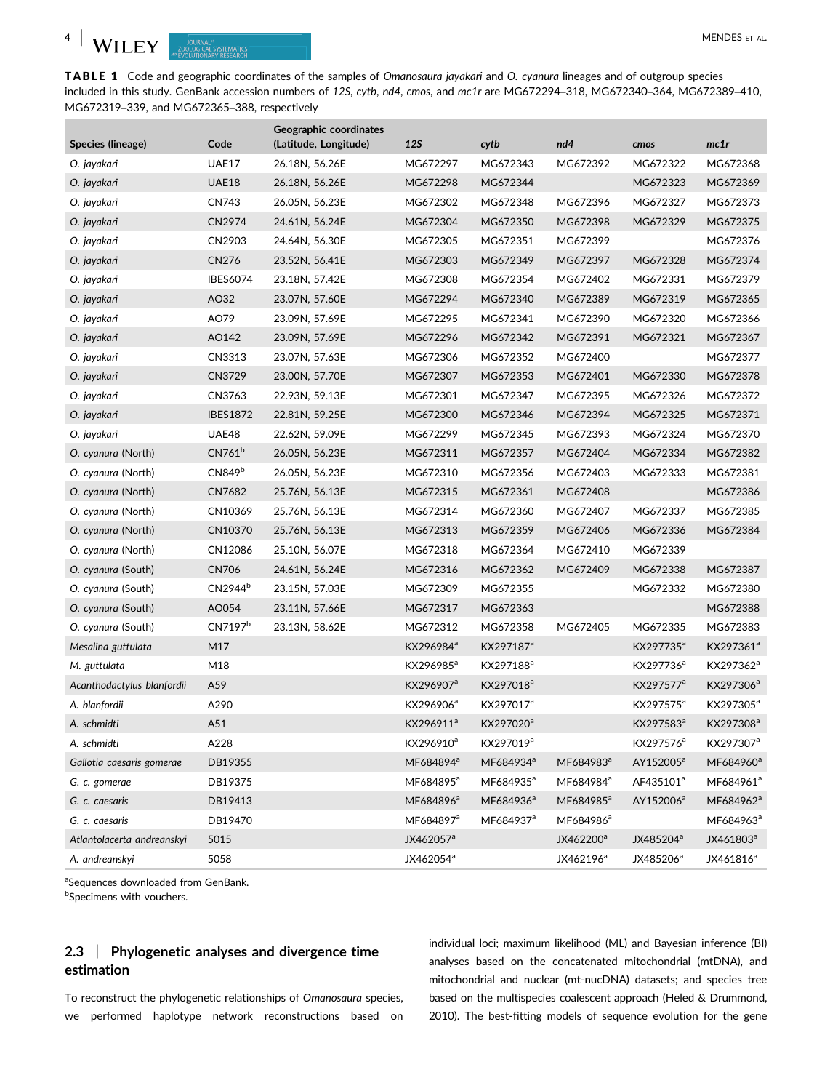TABLE 1 Code and geographic coordinates of the samples of Omanosaura jayakari and O. cyanura lineages and of outgroup species included in this study. GenBank accession numbers of 12S, cytb, nd4, cmos, and mc1r are MG672294–318, MG672340–364, MG672389–410, MG672319–339, and MG672365–388, respectively

|                            |                     | Geographic coordinates |                       |                       |                       |                       |                       |
|----------------------------|---------------------|------------------------|-----------------------|-----------------------|-----------------------|-----------------------|-----------------------|
| Species (lineage)          | Code                | (Latitude, Longitude)  | <b>12S</b>            | cytb                  | nd4                   | cmos                  | mc1r                  |
| O. jayakari                | <b>UAE17</b>        | 26.18N, 56.26E         | MG672297              | MG672343              | MG672392              | MG672322              | MG672368              |
| O. jayakari                | UAE18               | 26.18N, 56.26E         | MG672298              | MG672344              |                       | MG672323              | MG672369              |
| O. jayakari                | CN743               | 26.05N, 56.23E         | MG672302              | MG672348              | MG672396              | MG672327              | MG672373              |
| O. jayakari                | CN2974              | 24.61N, 56.24E         | MG672304              | MG672350              | MG672398              | MG672329              | MG672375              |
| O. jayakari                | CN2903              | 24.64N, 56.30E         | MG672305              | MG672351              | MG672399              |                       | MG672376              |
| O. jayakari                | CN276               | 23.52N, 56.41E         | MG672303              | MG672349              | MG672397              | MG672328              | MG672374              |
| O. jayakari                | <b>IBES6074</b>     | 23.18N, 57.42E         | MG672308              | MG672354              | MG672402              | MG672331              | MG672379              |
| O. jayakari                | AO32                | 23.07N, 57.60E         | MG672294              | MG672340              | MG672389              | MG672319              | MG672365              |
| O. jayakari                | AO79                | 23.09N, 57.69E         | MG672295              | MG672341              | MG672390              | MG672320              | MG672366              |
| O. jayakari                | AO142               | 23.09N, 57.69E         | MG672296              | MG672342              | MG672391              | MG672321              | MG672367              |
| O. jayakari                | CN3313              | 23.07N, 57.63E         | MG672306              | MG672352              | MG672400              |                       | MG672377              |
| O. jayakari                | CN3729              | 23.00N, 57.70E         | MG672307              | MG672353              | MG672401              | MG672330              | MG672378              |
| O. jayakari                | CN3763              | 22.93N, 59.13E         | MG672301              | MG672347              | MG672395              | MG672326              | MG672372              |
| O. jayakari                | <b>IBES1872</b>     | 22.81N, 59.25E         | MG672300              | MG672346              | MG672394              | MG672325              | MG672371              |
| O. jayakari                | UAE48               | 22.62N, 59.09E         | MG672299              | MG672345              | MG672393              | MG672324              | MG672370              |
| O. cyanura (North)         | CN761 <sup>b</sup>  | 26.05N, 56.23E         | MG672311              | MG672357              | MG672404              | MG672334              | MG672382              |
| O. cyanura (North)         | CN849 <sup>b</sup>  | 26.05N, 56.23E         | MG672310              | MG672356              | MG672403              | MG672333              | MG672381              |
| O. cyanura (North)         | CN7682              | 25.76N, 56.13E         | MG672315              | MG672361              | MG672408              |                       | MG672386              |
| O. cyanura (North)         | CN10369             | 25.76N, 56.13E         | MG672314              | MG672360              | MG672407              | MG672337              | MG672385              |
| O. cyanura (North)         | CN10370             | 25.76N, 56.13E         | MG672313              | MG672359              | MG672406              | MG672336              | MG672384              |
| O. cyanura (North)         | CN12086             | 25.10N, 56.07E         | MG672318              | MG672364              | MG672410              | MG672339              |                       |
| O. cyanura (South)         | CN706               | 24.61N, 56.24E         | MG672316              | MG672362              | MG672409              | MG672338              | MG672387              |
| O. cyanura (South)         | CN2944 <sup>b</sup> | 23.15N, 57.03E         | MG672309              | MG672355              |                       | MG672332              | MG672380              |
| O. cyanura (South)         | AO054               | 23.11N, 57.66E         | MG672317              | MG672363              |                       |                       | MG672388              |
| O. cyanura (South)         | CN7197 <sup>b</sup> | 23.13N, 58.62E         | MG672312              | MG672358              | MG672405              | MG672335              | MG672383              |
| Mesalina guttulata         | M17                 |                        | KX296984 <sup>a</sup> | KX297187 <sup>a</sup> |                       | KX297735 <sup>a</sup> | KX297361 <sup>a</sup> |
| M. guttulata               | M18                 |                        | KX296985 <sup>a</sup> | KX297188ª             |                       | KX297736 <sup>a</sup> | KX297362ª             |
| Acanthodactylus blanfordii | A59                 |                        | KX296907 <sup>a</sup> | KX297018 <sup>a</sup> |                       | KX297577 <sup>a</sup> | KX297306 <sup>a</sup> |
| A. blanfordii              | A290                |                        | KX296906 <sup>a</sup> | KX297017 <sup>a</sup> |                       | KX297575 <sup>a</sup> | KX297305 <sup>a</sup> |
| A. schmidti                | A51                 |                        | KX296911 <sup>a</sup> | KX297020 <sup>a</sup> |                       | KX297583ª             | KX297308 <sup>a</sup> |
| A. schmidti                | A228                |                        | KX296910 <sup>a</sup> | KX297019 <sup>a</sup> |                       | KX297576 <sup>a</sup> | KX297307ª             |
| Gallotia caesaris gomerae  | DB19355             |                        | MF684894 <sup>a</sup> | MF684934 <sup>a</sup> | MF684983 <sup>a</sup> | AY152005 <sup>a</sup> | MF684960 <sup>a</sup> |
| G. c. gomerae              | DB19375             |                        | MF684895 <sup>a</sup> | MF684935 <sup>a</sup> | MF684984 <sup>a</sup> | AF435101ª             | MF684961 <sup>a</sup> |
| G. c. caesaris             | DB19413             |                        | MF684896 <sup>a</sup> | MF684936 <sup>a</sup> | MF684985 <sup>a</sup> | AY152006 <sup>a</sup> | MF684962 <sup>a</sup> |
| G. c. caesaris             | DB19470             |                        | MF684897 <sup>a</sup> | MF684937 <sup>a</sup> | MF684986 <sup>a</sup> |                       | MF684963ª             |
| Atlantolacerta andreanskyi | 5015                |                        | JX462057 <sup>a</sup> |                       | JX462200 <sup>a</sup> | JX485204 <sup>a</sup> | JX461803ª             |
| A. andreanskyi             | 5058                |                        | JX462054 <sup>a</sup> |                       | JX462196 <sup>a</sup> | JX485206 <sup>a</sup> | JX461816 <sup>a</sup> |

<sup>a</sup>Sequences downloaded from GenBank.

bSpecimens with vouchers.

# 2.3 | Phylogenetic analyses and divergence time estimation

To reconstruct the phylogenetic relationships of Omanosaura species, we performed haplotype network reconstructions based on individual loci; maximum likelihood (ML) and Bayesian inference (BI) analyses based on the concatenated mitochondrial (mtDNA), and mitochondrial and nuclear (mt-nucDNA) datasets; and species tree based on the multispecies coalescent approach (Heled & Drummond, 2010). The best-fitting models of sequence evolution for the gene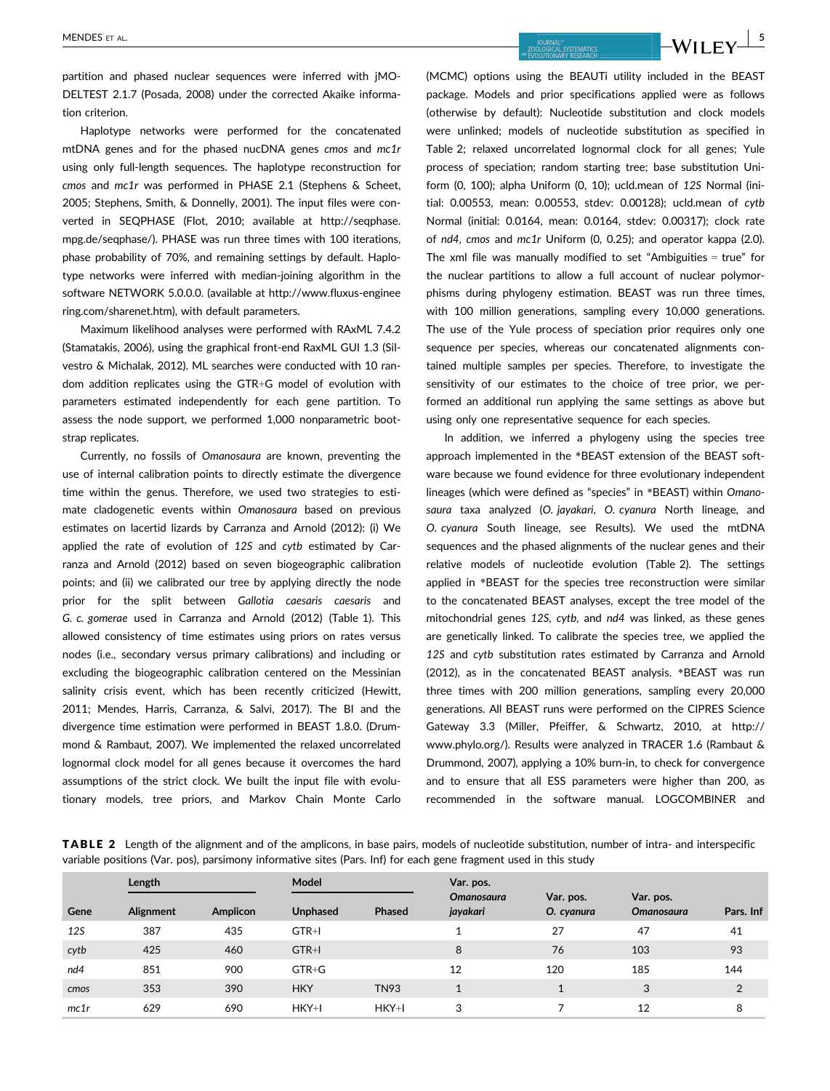partition and phased nuclear sequences were inferred with jMO-DELTEST 2.1.7 (Posada, 2008) under the corrected Akaike information criterion.

Haplotype networks were performed for the concatenated mtDNA genes and for the phased nucDNA genes cmos and mc1r using only full-length sequences. The haplotype reconstruction for cmos and mc1r was performed in PHASE 2.1 (Stephens & Scheet, 2005; Stephens, Smith, & Donnelly, 2001). The input files were converted in SEQPHASE (Flot, 2010; available at [http://seqphase.](http://seqphase.mpg.de/seqphase/) [mpg.de/seqphase/](http://seqphase.mpg.de/seqphase/)). PHASE was run three times with 100 iterations, phase probability of 70%, and remaining settings by default. Haplotype networks were inferred with median-joining algorithm in the software NETWORK 5.0.0.0. (available at [http://www.fluxus-enginee](http://www.fluxus-engineering.com/sharenet.htm) [ring.com/sharenet.htm](http://www.fluxus-engineering.com/sharenet.htm)), with default parameters.

Maximum likelihood analyses were performed with RAxML 7.4.2 (Stamatakis, 2006), using the graphical front-end RaxML GUI 1.3 (Silvestro & Michalak, 2012). ML searches were conducted with 10 random addition replicates using the GTR+G model of evolution with parameters estimated independently for each gene partition. To assess the node support, we performed 1,000 nonparametric bootstrap replicates.

Currently, no fossils of Omanosaura are known, preventing the use of internal calibration points to directly estimate the divergence time within the genus. Therefore, we used two strategies to estimate cladogenetic events within Omanosaura based on previous estimates on lacertid lizards by Carranza and Arnold (2012): (i) We applied the rate of evolution of 12S and cytb estimated by Carranza and Arnold (2012) based on seven biogeographic calibration points; and (ii) we calibrated our tree by applying directly the node prior for the split between Gallotia caesaris caesaris and G. c. gomerae used in Carranza and Arnold (2012) (Table 1). This allowed consistency of time estimates using priors on rates versus nodes (i.e., secondary versus primary calibrations) and including or excluding the biogeographic calibration centered on the Messinian salinity crisis event, which has been recently criticized (Hewitt, 2011; Mendes, Harris, Carranza, & Salvi, 2017). The BI and the divergence time estimation were performed in BEAST 1.8.0. (Drummond & Rambaut, 2007). We implemented the relaxed uncorrelated lognormal clock model for all genes because it overcomes the hard assumptions of the strict clock. We built the input file with evolutionary models, tree priors, and Markov Chain Monte Carlo (MCMC) options using the BEAUTi utility included in the BEAST package. Models and prior specifications applied were as follows (otherwise by default): Nucleotide substitution and clock models were unlinked; models of nucleotide substitution as specified in Table 2; relaxed uncorrelated lognormal clock for all genes; Yule process of speciation; random starting tree; base substitution Uniform (0, 100); alpha Uniform (0, 10); ucld.mean of 12S Normal (initial: 0.00553, mean: 0.00553, stdev: 0.00128); ucld.mean of cytb Normal (initial: 0.0164, mean: 0.0164, stdev: 0.00317); clock rate of nd4, cmos and mc1r Uniform (0, 0.25); and operator kappa (2.0). The xml file was manually modified to set "Ambiguities = true" for the nuclear partitions to allow a full account of nuclear polymorphisms during phylogeny estimation. BEAST was run three times, with 100 million generations, sampling every 10,000 generations. The use of the Yule process of speciation prior requires only one sequence per species, whereas our concatenated alignments contained multiple samples per species. Therefore, to investigate the sensitivity of our estimates to the choice of tree prior, we performed an additional run applying the same settings as above but using only one representative sequence for each species.

In addition, we inferred a phylogeny using the species tree approach implemented in the \*BEAST extension of the BEAST software because we found evidence for three evolutionary independent lineages (which were defined as "species" in \*BEAST) within Omanosaura taxa analyzed (O. jayakari, O. cyanura North lineage, and O. cyanura South lineage, see Results). We used the mtDNA sequences and the phased alignments of the nuclear genes and their relative models of nucleotide evolution (Table 2). The settings applied in \*BEAST for the species tree reconstruction were similar to the concatenated BEAST analyses, except the tree model of the mitochondrial genes 12S, cytb, and nd4 was linked, as these genes are genetically linked. To calibrate the species tree, we applied the 12S and cytb substitution rates estimated by Carranza and Arnold (2012), as in the concatenated BEAST analysis. \*BEAST was run three times with 200 million generations, sampling every 20,000 generations. All BEAST runs were performed on the CIPRES Science Gateway 3.3 (Miller, Pfeiffer, & Schwartz, 2010, at [http://](http://www.phylo.org/) [www.phylo.org/](http://www.phylo.org/)). Results were analyzed in TRACER 1.6 (Rambaut & Drummond, 2007), applying a 10% burn-in, to check for convergence and to ensure that all ESS parameters were higher than 200, as recommended in the software manual. LOGCOMBINER and

TABLE 2 Length of the alignment and of the amplicons, in base pairs, models of nucleotide substitution, number of intra- and interspecific variable positions (Var. pos), parsimony informative sites (Pars. Inf) for each gene fragment used in this study

|      | Length    |                 | Model           |               | Var. pos.                     |                         |                                |           |
|------|-----------|-----------------|-----------------|---------------|-------------------------------|-------------------------|--------------------------------|-----------|
| Gene | Alignment | <b>Amplicon</b> | <b>Unphased</b> | <b>Phased</b> | <b>Omanosaura</b><br>jayakari | Var. pos.<br>O. cyanura | Var. pos.<br><b>Omanosaura</b> | Pars. Inf |
| 12S  | 387       | 435             | GTR+I           |               |                               | 27                      | 47                             | 41        |
| cytb | 425       | 460             | GTR+I           |               | 8                             | 76                      | 103                            | 93        |
| nd4  | 851       | 900             | $GTR + G$       |               | 12                            | 120                     | 185                            | 144       |
| cmos | 353       | 390             | <b>HKY</b>      | <b>TN93</b>   |                               | $\mathbf{A}$            | 3                              | 2         |
| mc1r | 629       | 690             | $HKY+I$         | $HKY+I$       | 3                             |                         | 12                             | 8         |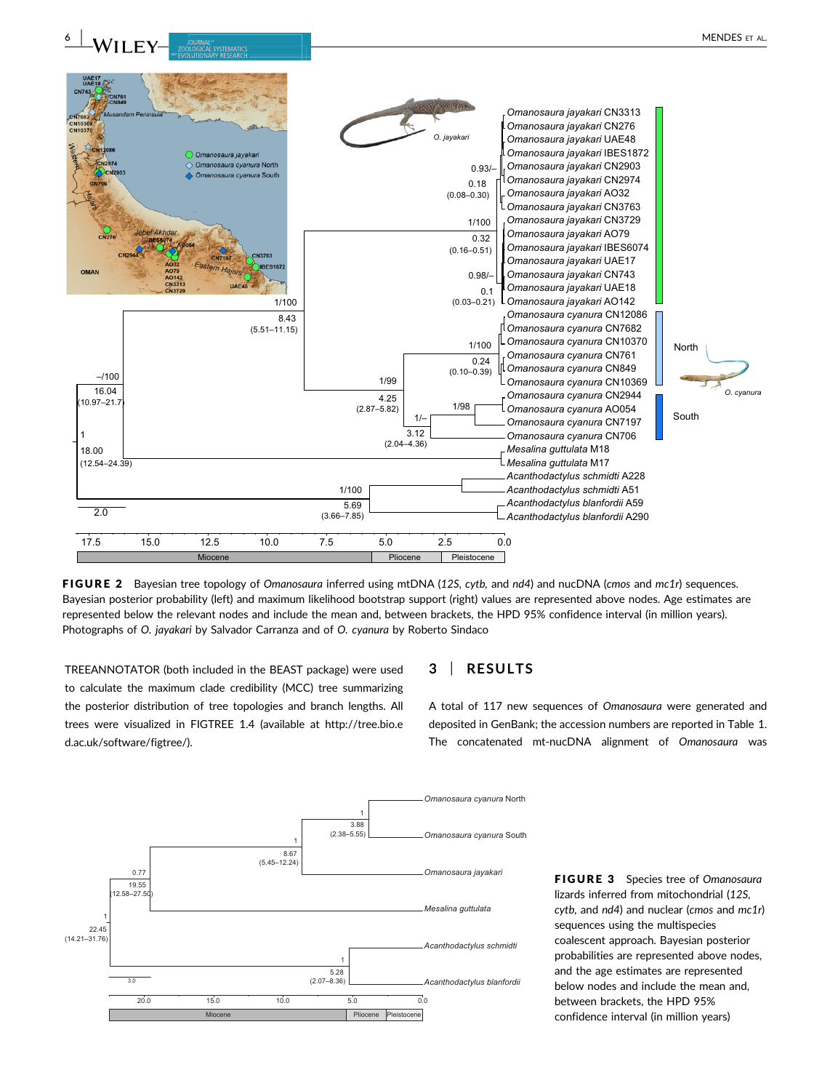

FIGURE 2 Bayesian tree topology of Omanosaura inferred using mtDNA (12S, cytb, and nd4) and nucDNA (cmos and mc1r) sequences. Bayesian posterior probability (left) and maximum likelihood bootstrap support (right) values are represented above nodes. Age estimates are represented below the relevant nodes and include the mean and, between brackets, the HPD 95% confidence interval (in million years). Photographs of O. jayakari by Salvador Carranza and of O. cyanura by Roberto Sindaco

TREEANNOTATOR (both included in the BEAST package) were used to calculate the maximum clade credibility (MCC) tree summarizing the posterior distribution of tree topologies and branch lengths. All trees were visualized in FIGTREE 1.4 (available at [http://tree.bio.e](http://tree.bio.ed.ac.uk/software/figtree/) [d.ac.uk/software/figtree/](http://tree.bio.ed.ac.uk/software/figtree/)).

# 3 | RESULTS

A total of 117 new sequences of Omanosaura were generated and deposited in GenBank; the accession numbers are reported in Table 1. The concatenated mt-nucDNA alignment of Omanosaura was



FIGURE 3 Species tree of Omanosaura lizards inferred from mitochondrial (12S,  $cytb$ , and  $nd4$ ) and nuclear (cmos and  $mc1r$ ) sequences using the multispecies coalescent approach. Bayesian posterior probabilities are represented above nodes, and the age estimates are represented below nodes and include the mean and, between brackets, the HPD 95% confidence interval (in million years)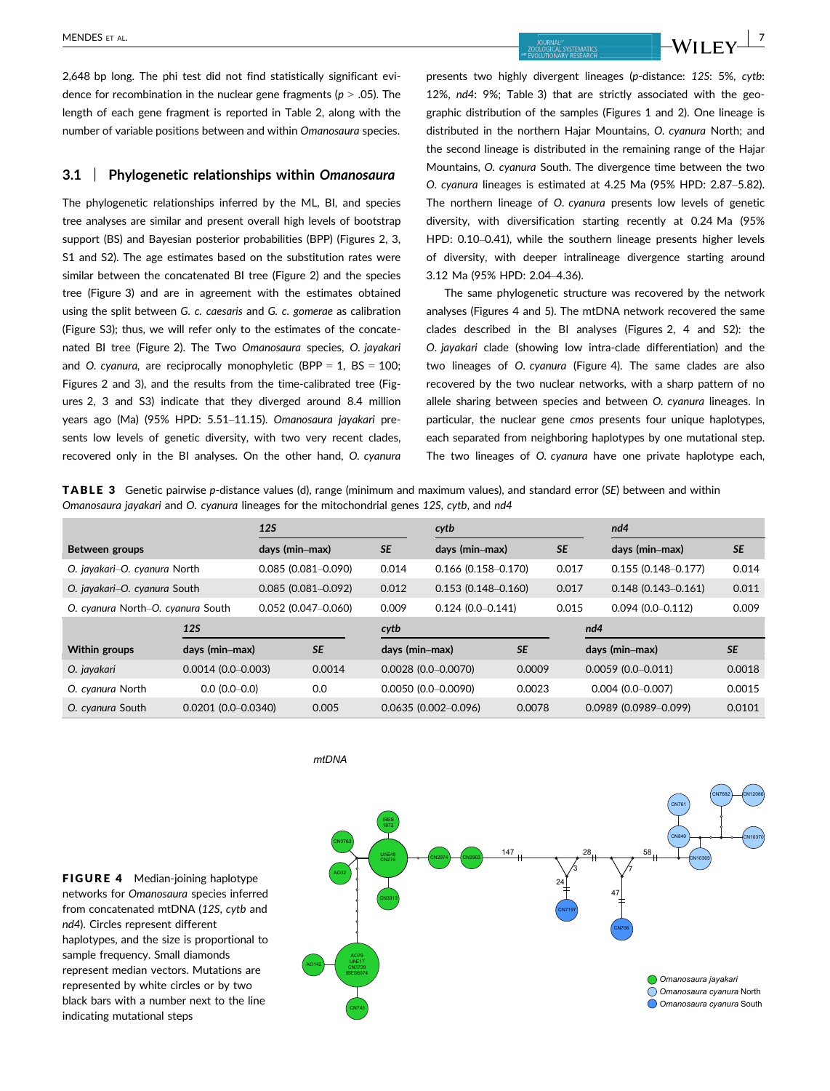MENDES ET AL. **1998**<br><u>MENDES ET AL. **1999 - 1999 - 1999 - 1999 - 1999 - 1999 - 1999 - 1999 - 1999 - 1999 - 1999 - 1999 - 1999 - 1999 - 1999 - 1999 - 1999 - 1999 - 1999 - 1999 - 1999 - 1999 - 1999 - 1999 - 1999 - 1999 - 199</u>** 

2,648 bp long. The phi test did not find statistically significant evidence for recombination in the nuclear gene fragments ( $p > .05$ ). The length of each gene fragment is reported in Table 2, along with the number of variable positions between and within Omanosaura species.

## 3.1 | Phylogenetic relationships within Omanosaura

The phylogenetic relationships inferred by the ML, BI, and species tree analyses are similar and present overall high levels of bootstrap support (BS) and Bayesian posterior probabilities (BPP) (Figures 2, 3, S1 and S2). The age estimates based on the substitution rates were similar between the concatenated BI tree (Figure 2) and the species tree (Figure 3) and are in agreement with the estimates obtained using the split between G. c. caesaris and G. c. gomerae as calibration (Figure S3); thus, we will refer only to the estimates of the concatenated BI tree (Figure 2). The Two Omanosaura species, O. jayakari and O. cyanura, are reciprocally monophyletic (BPP =  $1$ , BS =  $100$ ; Figures 2 and 3), and the results from the time-calibrated tree (Figures 2, 3 and S3) indicate that they diverged around 8.4 million years ago (Ma) (95% HPD: 5.51–11.15). Omanosaura jayakari presents low levels of genetic diversity, with two very recent clades, recovered only in the BI analyses. On the other hand, O. cyanura presents two highly divergent lineages (p-distance: 12S: 5%, cytb: 12%, nd4: 9%; Table 3) that are strictly associated with the geographic distribution of the samples (Figures 1 and 2). One lineage is distributed in the northern Hajar Mountains, O. cyanura North; and the second lineage is distributed in the remaining range of the Hajar Mountains, O. cyanura South. The divergence time between the two O. cyanura lineages is estimated at 4.25 Ma (95% HPD: 2.87–5.82). The northern lineage of O. cyanura presents low levels of genetic diversity, with diversification starting recently at 0.24 Ma (95% HPD: 0.10–0.41), while the southern lineage presents higher levels of diversity, with deeper intralineage divergence starting around 3.12 Ma (95% HPD: 2.04–4.36).

The same phylogenetic structure was recovered by the network analyses (Figures 4 and 5). The mtDNA network recovered the same clades described in the BI analyses (Figures 2, 4 and S2): the O. jayakari clade (showing low intra-clade differentiation) and the two lineages of O. cyanura (Figure 4). The same clades are also recovered by the two nuclear networks, with a sharp pattern of no allele sharing between species and between O. cyanura lineages. In particular, the nuclear gene cmos presents four unique haplotypes, each separated from neighboring haplotypes by one mutational step. The two lineages of O. cyanura have one private haplotype each,

TABLE 3 Genetic pairwise p-distance values (d), range (minimum and maximum values), and standard error (SE) between and within Omanosaura jayakari and O. cyanura lineages for the mitochondrial genes 12S, cytb, and nd4

|                                   |                        | <b>12S</b>             |           |                | cytb                    |           |           | nd4                     |           |  |
|-----------------------------------|------------------------|------------------------|-----------|----------------|-------------------------|-----------|-----------|-------------------------|-----------|--|
| Between groups                    |                        | days (min–max)         |           | <b>SE</b>      | days (min–max)          |           | <b>SE</b> | days (min-max)          | <b>SE</b> |  |
| O. jayakari-O. cyanura North      |                        | $0.085(0.081 - 0.090)$ |           | 0.014          | $0.166$ (0.158-0.170)   |           | 0.017     | $0.155(0.148 - 0.177)$  | 0.014     |  |
| O. jayakari-O. cyanura South      |                        | $0.085(0.081 - 0.092)$ |           | 0.012          | $0.153(0.148 - 0.160)$  |           | 0.017     | $0.148(0.143 - 0.161)$  | 0.011     |  |
| O. cyanura North-O. cyanura South |                        | $0.052$ (0.047-0.060)  |           | 0.009          | $0.124(0.0 - 0.141)$    |           | 0.015     | $0.094(0.0 - 0.112)$    | 0.009     |  |
|                                   | <b>12S</b>             |                        |           | cytb           |                         |           |           | nd4                     |           |  |
| <b>Within groups</b>              | days (min-max)         |                        | <b>SE</b> | days (min-max) |                         | <b>SE</b> |           | days (min-max)          | <b>SE</b> |  |
| O. jayakari                       | $0.0014(0.0-0.003)$    |                        | 0.0014    |                | $0.0028$ (0.0-0.0070)   | 0.0009    |           | $0.0059$ (0.0-0.011)    | 0.0018    |  |
| O. cyanura North                  | $0.0(0.0-0.0)$         |                        | 0.0       |                | $0.0050$ (0.0-0.0090)   | 0.0023    |           | $0.004(0.0 - 0.007)$    | 0.0015    |  |
| O. cyanura South                  | $0.0201(0.0 - 0.0340)$ |                        | 0.005     |                | $0.0635(0.002 - 0.096)$ | 0.0078    |           | $0.0989$ (0.0989-0.099) | 0.0101    |  |

*mtDNA*

FIGURE 4 Median-joining haplotype networks for Omanosaura species inferred from concatenated mtDNA (12S, cytb and nd4). Circles represent different haplotypes, and the size is proportional to sample frequency. Small diamonds represent median vectors. Mutations are represented by white circles or by two black bars with a number next to the line indicating mutational steps

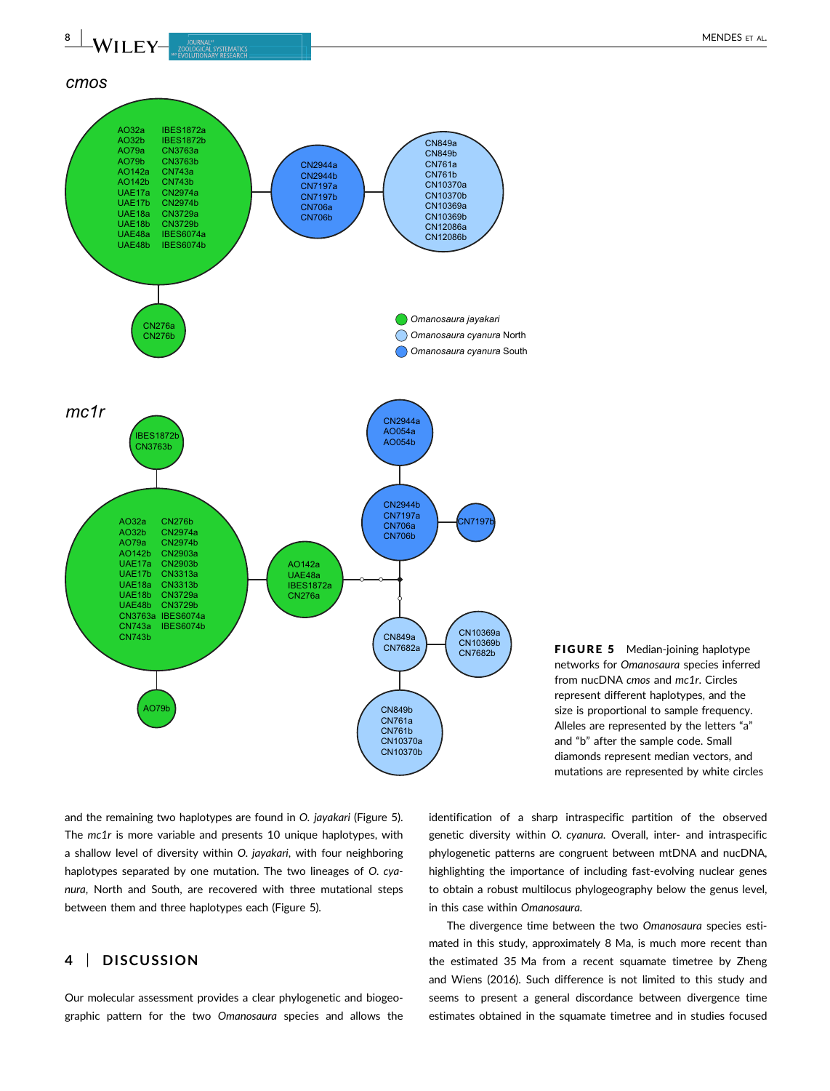

FIGURE 5 Median-joining haplotype networks for Omanosaura species inferred from nucDNA cmos and mc1r. Circles represent different haplotypes, and the size is proportional to sample frequency. Alleles are represented by the letters "a" and "b" after the sample code. Small diamonds represent median vectors, and mutations are represented by white circles

and the remaining two haplotypes are found in O. jayakari (Figure 5). The mc1r is more variable and presents 10 unique haplotypes, with a shallow level of diversity within O. jayakari, with four neighboring haplotypes separated by one mutation. The two lineages of O. cyanura, North and South, are recovered with three mutational steps between them and three haplotypes each (Figure 5).

# 4 | DISCUSSION

Our molecular assessment provides a clear phylogenetic and biogeographic pattern for the two Omanosaura species and allows the identification of a sharp intraspecific partition of the observed genetic diversity within O. cyanura. Overall, inter- and intraspecific phylogenetic patterns are congruent between mtDNA and nucDNA, highlighting the importance of including fast-evolving nuclear genes to obtain a robust multilocus phylogeography below the genus level, in this case within Omanosaura.

The divergence time between the two Omanosaura species estimated in this study, approximately 8 Ma, is much more recent than the estimated 35 Ma from a recent squamate timetree by Zheng and Wiens (2016). Such difference is not limited to this study and seems to present a general discordance between divergence time estimates obtained in the squamate timetree and in studies focused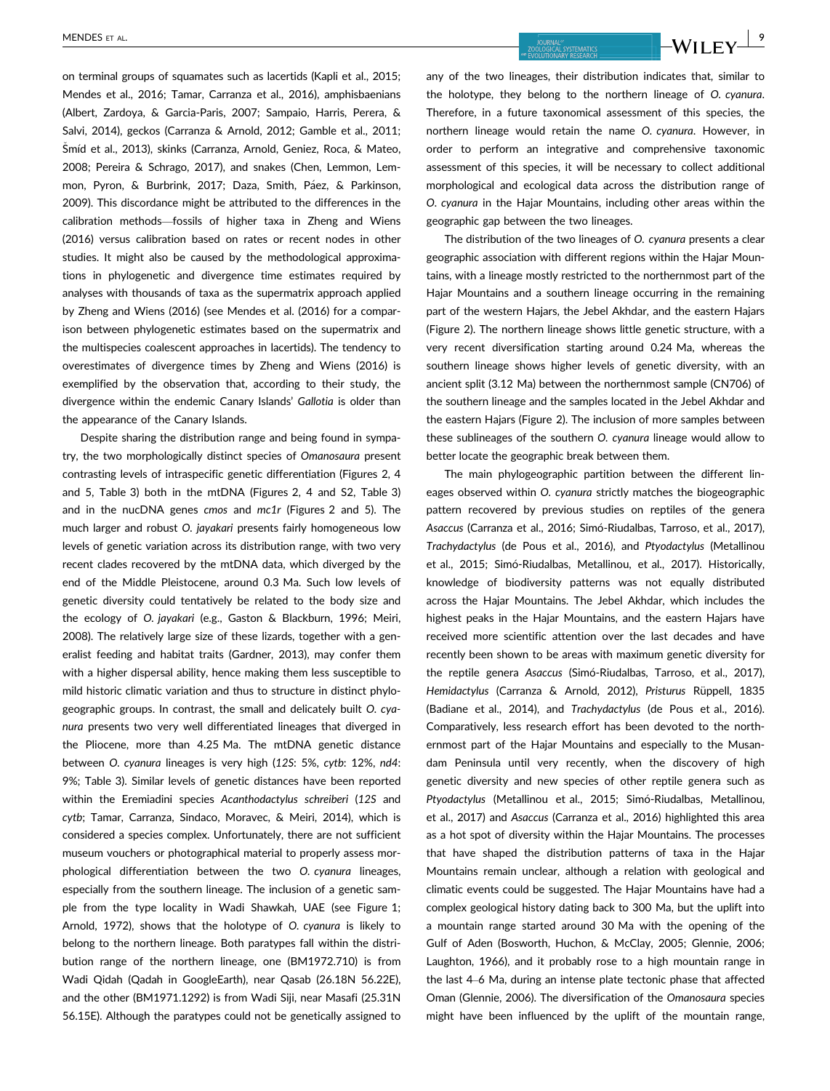on terminal groups of squamates such as lacertids (Kapli et al., 2015; Mendes et al., 2016; Tamar, Carranza et al., 2016), amphisbaenians (Albert, Zardoya, & Garcia-Paris, 2007; Sampaio, Harris, Perera, & Salvi, 2014), geckos (Carranza & Arnold, 2012; Gamble et al., 2011; Šmíd et al., 2013), skinks (Carranza, Arnold, Geniez, Roca, & Mateo, 2008; Pereira & Schrago, 2017), and snakes (Chen, Lemmon, Lemmon, Pyron, & Burbrink, 2017; Daza, Smith, Páez, & Parkinson, 2009). This discordance might be attributed to the differences in the calibration methods—fossils of higher taxa in Zheng and Wiens (2016) versus calibration based on rates or recent nodes in other studies. It might also be caused by the methodological approximations in phylogenetic and divergence time estimates required by analyses with thousands of taxa as the supermatrix approach applied by Zheng and Wiens (2016) (see Mendes et al. (2016) for a comparison between phylogenetic estimates based on the supermatrix and the multispecies coalescent approaches in lacertids). The tendency to overestimates of divergence times by Zheng and Wiens (2016) is exemplified by the observation that, according to their study, the divergence within the endemic Canary Islands' Gallotia is older than the appearance of the Canary Islands.

Despite sharing the distribution range and being found in sympatry, the two morphologically distinct species of Omanosaura present contrasting levels of intraspecific genetic differentiation (Figures 2, 4 and 5, Table 3) both in the mtDNA (Figures 2, 4 and S2, Table 3) and in the nucDNA genes cmos and mc1r (Figures 2 and 5). The much larger and robust O. jayakari presents fairly homogeneous low levels of genetic variation across its distribution range, with two very recent clades recovered by the mtDNA data, which diverged by the end of the Middle Pleistocene, around 0.3 Ma. Such low levels of genetic diversity could tentatively be related to the body size and the ecology of O. jayakari (e.g., Gaston & Blackburn, 1996; Meiri, 2008). The relatively large size of these lizards, together with a generalist feeding and habitat traits (Gardner, 2013), may confer them with a higher dispersal ability, hence making them less susceptible to mild historic climatic variation and thus to structure in distinct phylogeographic groups. In contrast, the small and delicately built O. cyanura presents two very well differentiated lineages that diverged in the Pliocene, more than 4.25 Ma. The mtDNA genetic distance between O. cyanura lineages is very high (12S: 5%, cytb: 12%, nd4: 9%; Table 3). Similar levels of genetic distances have been reported within the Eremiadini species Acanthodactylus schreiberi (12S and cytb; Tamar, Carranza, Sindaco, Moravec, & Meiri, 2014), which is considered a species complex. Unfortunately, there are not sufficient museum vouchers or photographical material to properly assess morphological differentiation between the two O. cyanura lineages, especially from the southern lineage. The inclusion of a genetic sample from the type locality in Wadi Shawkah, UAE (see Figure 1; Arnold, 1972), shows that the holotype of O. cyanura is likely to belong to the northern lineage. Both paratypes fall within the distribution range of the northern lineage, one (BM1972.710) is from Wadi Qidah (Qadah in GoogleEarth), near Qasab (26.18N 56.22E), and the other (BM1971.1292) is from Wadi Siji, near Masafi (25.31N 56.15E). Although the paratypes could not be genetically assigned to

MENDES ET AL. | 9

any of the two lineages, their distribution indicates that, similar to the holotype, they belong to the northern lineage of O. cyanura. Therefore, in a future taxonomical assessment of this species, the northern lineage would retain the name O. cyanura. However, in order to perform an integrative and comprehensive taxonomic assessment of this species, it will be necessary to collect additional morphological and ecological data across the distribution range of O. cyanura in the Hajar Mountains, including other areas within the geographic gap between the two lineages.

The distribution of the two lineages of O. cyanura presents a clear geographic association with different regions within the Hajar Mountains, with a lineage mostly restricted to the northernmost part of the Hajar Mountains and a southern lineage occurring in the remaining part of the western Hajars, the Jebel Akhdar, and the eastern Hajars (Figure 2). The northern lineage shows little genetic structure, with a very recent diversification starting around 0.24 Ma, whereas the southern lineage shows higher levels of genetic diversity, with an ancient split (3.12 Ma) between the northernmost sample (CN706) of the southern lineage and the samples located in the Jebel Akhdar and the eastern Hajars (Figure 2). The inclusion of more samples between these sublineages of the southern O. cyanura lineage would allow to better locate the geographic break between them.

The main phylogeographic partition between the different lineages observed within O. cyanura strictly matches the biogeographic pattern recovered by previous studies on reptiles of the genera Asaccus (Carranza et al., 2016; Simó-Riudalbas, Tarroso, et al., 2017), Trachydactylus (de Pous et al., 2016), and Ptyodactylus (Metallinou et al., 2015; Simó-Riudalbas, Metallinou, et al., 2017). Historically, knowledge of biodiversity patterns was not equally distributed across the Hajar Mountains. The Jebel Akhdar, which includes the highest peaks in the Hajar Mountains, and the eastern Hajars have received more scientific attention over the last decades and have recently been shown to be areas with maximum genetic diversity for the reptile genera Asaccus (Simó-Riudalbas, Tarroso, et al., 2017), Hemidactylus (Carranza & Arnold, 2012), Pristurus Rüppell, 1835 (Badiane et al., 2014), and Trachydactylus (de Pous et al., 2016). Comparatively, less research effort has been devoted to the northernmost part of the Hajar Mountains and especially to the Musandam Peninsula until very recently, when the discovery of high genetic diversity and new species of other reptile genera such as Ptyodactylus (Metallinou et al., 2015; Simó-Riudalbas, Metallinou, et al., 2017) and Asaccus (Carranza et al., 2016) highlighted this area as a hot spot of diversity within the Hajar Mountains. The processes that have shaped the distribution patterns of taxa in the Hajar Mountains remain unclear, although a relation with geological and climatic events could be suggested. The Hajar Mountains have had a complex geological history dating back to 300 Ma, but the uplift into a mountain range started around 30 Ma with the opening of the Gulf of Aden (Bosworth, Huchon, & McClay, 2005; Glennie, 2006; Laughton, 1966), and it probably rose to a high mountain range in the last 4–6 Ma, during an intense plate tectonic phase that affected Oman (Glennie, 2006). The diversification of the Omanosaura species might have been influenced by the uplift of the mountain range,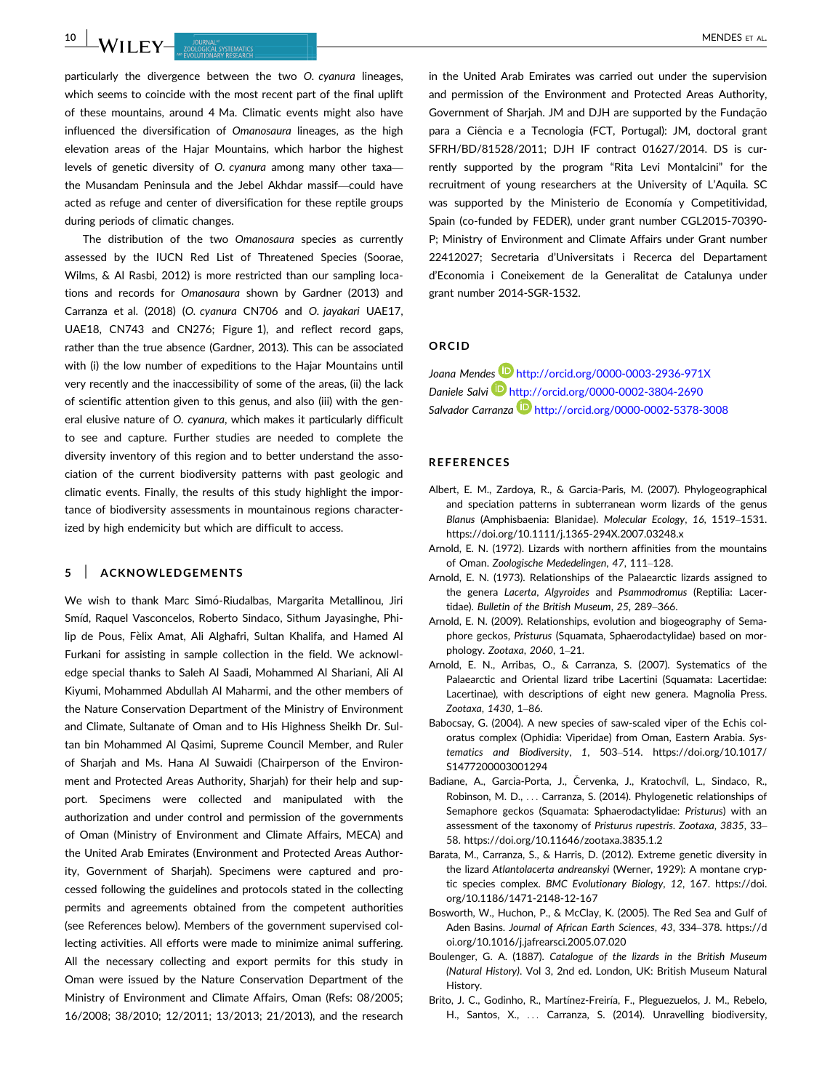10 | MENDES ET AL. **INVESTIGATION COURNAL INCLUSION COURNEY COURNEY COURNEY COURNEY COURNEY COURNEY COURNEY COURNEY COURNEY COURNEY COURNEY COURNEY COURNEY COURNEY COURNEY COURNEY COURNEY COURNEY COURNEY COURNEY COURNEY** 

particularly the divergence between the two O. cyanura lineages, which seems to coincide with the most recent part of the final uplift of these mountains, around 4 Ma. Climatic events might also have influenced the diversification of Omanosaura lineages, as the high elevation areas of the Hajar Mountains, which harbor the highest levels of genetic diversity of O. cyanura among many other taxa the Musandam Peninsula and the Jebel Akhdar massif—could have acted as refuge and center of diversification for these reptile groups during periods of climatic changes.

The distribution of the two Omanosaura species as currently assessed by the IUCN Red List of Threatened Species (Soorae, Wilms, & Al Rasbi, 2012) is more restricted than our sampling locations and records for Omanosaura shown by Gardner (2013) and Carranza et al. (2018) (O. cyanura CN706 and O. jayakari UAE17, UAE18, CN743 and CN276; Figure 1), and reflect record gaps, rather than the true absence (Gardner, 2013). This can be associated with (i) the low number of expeditions to the Hajar Mountains until very recently and the inaccessibility of some of the areas, (ii) the lack of scientific attention given to this genus, and also (iii) with the general elusive nature of O. cyanura, which makes it particularly difficult to see and capture. Further studies are needed to complete the diversity inventory of this region and to better understand the association of the current biodiversity patterns with past geologic and climatic events. Finally, the results of this study highlight the importance of biodiversity assessments in mountainous regions characterized by high endemicity but which are difficult to access.

#### 5 | ACKNOWLEDGEMENTS

We wish to thank Marc Simó-Riudalbas, Margarita Metallinou, Jiri Smíd, Raquel Vasconcelos, Roberto Sindaco, Sithum Jayasinghe, Philip de Pous, Fèlix Amat, Ali Alghafri, Sultan Khalifa, and Hamed Al Furkani for assisting in sample collection in the field. We acknowledge special thanks to Saleh Al Saadi, Mohammed Al Shariani, Ali Al Kiyumi, Mohammed Abdullah Al Maharmi, and the other members of the Nature Conservation Department of the Ministry of Environment and Climate, Sultanate of Oman and to His Highness Sheikh Dr. Sultan bin Mohammed Al Qasimi, Supreme Council Member, and Ruler of Sharjah and Ms. Hana Al Suwaidi (Chairperson of the Environment and Protected Areas Authority, Sharjah) for their help and support. Specimens were collected and manipulated with the authorization and under control and permission of the governments of Oman (Ministry of Environment and Climate Affairs, MECA) and the United Arab Emirates (Environment and Protected Areas Authority, Government of Sharjah). Specimens were captured and processed following the guidelines and protocols stated in the collecting permits and agreements obtained from the competent authorities (see References below). Members of the government supervised collecting activities. All efforts were made to minimize animal suffering. All the necessary collecting and export permits for this study in Oman were issued by the Nature Conservation Department of the Ministry of Environment and Climate Affairs, Oman (Refs: 08/2005; 16/2008; 38/2010; 12/2011; 13/2013; 21/2013), and the research in the United Arab Emirates was carried out under the supervision and permission of the Environment and Protected Areas Authority, Government of Sharjah. JM and DJH are supported by the Fundação para a Ciencia e a Tecnologia (FCT, Portugal): JM, doctoral grant ^ SFRH/BD/81528/2011; DJH IF contract 01627/2014. DS is currently supported by the program "Rita Levi Montalcini" for the recruitment of young researchers at the University of L'Aquila. SC was supported by the Ministerio de Economía y Competitividad, Spain (co-funded by FEDER), under grant number CGL2015-70390- P; Ministry of Environment and Climate Affairs under Grant number 22412027; Secretaria d'Universitats i Recerca del Departament d'Economia i Coneixement de la Generalitat de Catalunya under grant number 2014-SGR-1532.

#### ORCID

Joana Mendes **D** http://orcid.org/0000-0003-2936-971X Daniele Salvi http://orcid.org/0000-0002-3804-2690 Salvador Carranza<sup>D</sup> http://orcid.org/0000-0002-5378-3008

#### **REFERENCES**

- Albert, E. M., Zardoya, R., & Garcia-Paris, M. (2007). Phylogeographical and speciation patterns in subterranean worm lizards of the genus Blanus (Amphisbaenia: Blanidae). Molecular Ecology, 16, 1519–1531. <https://doi.org/10.1111/j.1365-294X.2007.03248.x>
- Arnold, E. N. (1972). Lizards with northern affinities from the mountains of Oman. Zoologische Mededelingen, 47, 111–128.
- Arnold, E. N. (1973). Relationships of the Palaearctic lizards assigned to the genera Lacerta, Algyroides and Psammodromus (Reptilia: Lacertidae). Bulletin of the British Museum, 25, 289–366.
- Arnold, E. N. (2009). Relationships, evolution and biogeography of Semaphore geckos, Pristurus (Squamata, Sphaerodactylidae) based on morphology. Zootaxa, 2060, 1–21.
- Arnold, E. N., Arribas, O., & Carranza, S. (2007). Systematics of the Palaearctic and Oriental lizard tribe Lacertini (Squamata: Lacertidae: Lacertinae), with descriptions of eight new genera. Magnolia Press. Zootaxa, 1430, 1–86.
- Babocsay, G. (2004). A new species of saw-scaled viper of the Echis coloratus complex (Ophidia: Viperidae) from Oman, Eastern Arabia. Systematics and Biodiversity, 1, 503–514. [https://doi.org/10.1017/](https://doi.org/10.1017/S1477200003001294) [S1477200003001294](https://doi.org/10.1017/S1477200003001294)
- Badiane, A., Garcia-Porta, J., Červenka, J., Kratochvíl, L., Sindaco, R., Robinson, M. D., ... Carranza, S. (2014). Phylogenetic relationships of Semaphore geckos (Squamata: Sphaerodactylidae: Pristurus) with an assessment of the taxonomy of Pristurus rupestris. Zootaxa, 3835, 33– 58.<https://doi.org/10.11646/zootaxa.3835.1.2>
- Barata, M., Carranza, S., & Harris, D. (2012). Extreme genetic diversity in the lizard Atlantolacerta andreanskyi (Werner, 1929): A montane cryptic species complex. BMC Evolutionary Biology, 12, 167. [https://doi.](https://doi.org/10.1186/1471-2148-12-167) [org/10.1186/1471-2148-12-167](https://doi.org/10.1186/1471-2148-12-167)
- Bosworth, W., Huchon, P., & McClay, K. (2005). The Red Sea and Gulf of Aden Basins. Journal of African Earth Sciences, 43, 334–378. [https://d](https://doi.org/10.1016/j.jafrearsci.2005.07.020) [oi.org/10.1016/j.jafrearsci.2005.07.020](https://doi.org/10.1016/j.jafrearsci.2005.07.020)
- Boulenger, G. Α. (1887). Catalogue of the lizards in the British Museum (Natural History). Vol 3, 2nd ed. London, UK: British Museum Natural History.
- Brito, J. C., Godinho, R., Martínez-Freiría, F., Pleguezuelos, J. M., Rebelo, H., Santos, X., ... Carranza, S. (2014). Unravelling biodiversity,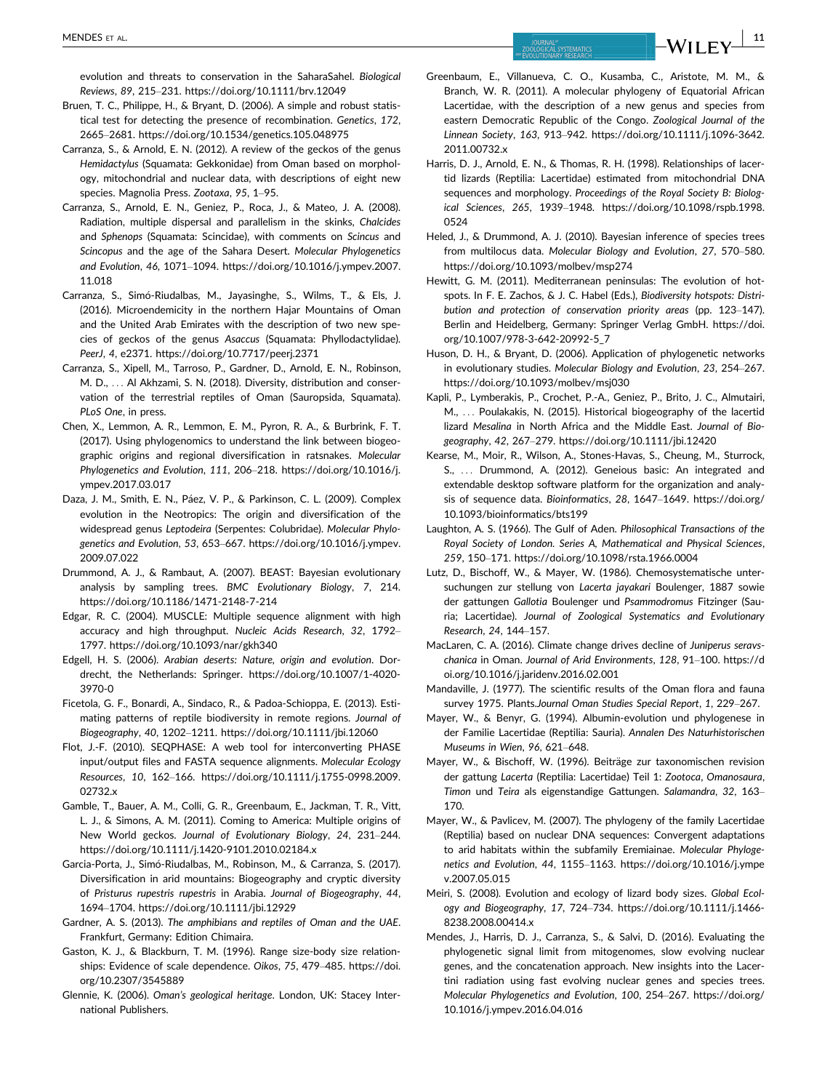evolution and threats to conservation in the SaharaSahel. Biological Reviews, 89, 215–231.<https://doi.org/10.1111/brv.12049>

- Bruen, T. C., Philippe, H., & Bryant, D. (2006). A simple and robust statistical test for detecting the presence of recombination. Genetics, 172, 2665–2681.<https://doi.org/10.1534/genetics.105.048975>
- Carranza, S., & Arnold, E. N. (2012). A review of the geckos of the genus Hemidactylus (Squamata: Gekkonidae) from Oman based on morphology, mitochondrial and nuclear data, with descriptions of eight new species. Magnolia Press. Zootaxa, 95, 1–95.
- Carranza, S., Arnold, E. N., Geniez, P., Roca, J., & Mateo, J. A. (2008). Radiation, multiple dispersal and parallelism in the skinks, Chalcides and Sphenops (Squamata: Scincidae), with comments on Scincus and Scincopus and the age of the Sahara Desert. Molecular Phylogenetics and Evolution, 46, 1071–1094. [https://doi.org/10.1016/j.ympev.2007.](https://doi.org/10.1016/j.ympev.2007.11.018) [11.018](https://doi.org/10.1016/j.ympev.2007.11.018)
- Carranza, S., Simó-Riudalbas, M., Jayasinghe, S., Wilms, T., & Els, J. (2016). Microendemicity in the northern Hajar Mountains of Oman and the United Arab Emirates with the description of two new species of geckos of the genus Asaccus (Squamata: Phyllodactylidae). PeerJ, 4, e2371.<https://doi.org/10.7717/peerj.2371>
- Carranza, S., Xipell, M., Tarroso, P., Gardner, D., Arnold, E. N., Robinson, M. D., ... Al Akhzami, S. N. (2018). Diversity, distribution and conservation of the terrestrial reptiles of Oman (Sauropsida, Squamata). PLoS One, in press.
- Chen, X., Lemmon, A. R., Lemmon, E. M., Pyron, R. A., & Burbrink, F. T. (2017). Using phylogenomics to understand the link between biogeographic origins and regional diversification in ratsnakes. Molecular Phylogenetics and Evolution, 111, 206–218. [https://doi.org/10.1016/j.](https://doi.org/10.1016/j.ympev.2017.03.017) [ympev.2017.03.017](https://doi.org/10.1016/j.ympev.2017.03.017)
- Daza, J. M., Smith, E. N., Páez, V. P., & Parkinson, C. L. (2009). Complex evolution in the Neotropics: The origin and diversification of the widespread genus Leptodeira (Serpentes: Colubridae). Molecular Phylogenetics and Evolution, 53, 653–667. [https://doi.org/10.1016/j.ympev.](https://doi.org/10.1016/j.ympev.2009.07.022) [2009.07.022](https://doi.org/10.1016/j.ympev.2009.07.022)
- Drummond, A. J., & Rambaut, A. (2007). BEAST: Bayesian evolutionary analysis by sampling trees. BMC Evolutionary Biology, 7, 214. <https://doi.org/10.1186/1471-2148-7-214>
- Edgar, R. C. (2004). MUSCLE: Multiple sequence alignment with high accuracy and high throughput. Nucleic Acids Research, 32, 1792– 1797.<https://doi.org/10.1093/nar/gkh340>
- Edgell, H. S. (2006). Arabian deserts: Nature, origin and evolution. Dordrecht, the Netherlands: Springer. [https://doi.org/10.1007/1-4020-](https://doi.org/10.1007/1-4020-3970-0) [3970-0](https://doi.org/10.1007/1-4020-3970-0)
- Ficetola, G. F., Bonardi, A., Sindaco, R., & Padoa-Schioppa, E. (2013). Estimating patterns of reptile biodiversity in remote regions. Journal of Biogeography, 40, 1202–1211.<https://doi.org/10.1111/jbi.12060>
- Flot, J.-F. (2010). SEQPHASE: A web tool for interconverting PHASE input/output files and FASTA sequence alignments. Molecular Ecology Resources, 10, 162–166. [https://doi.org/10.1111/j.1755-0998.2009.](https://doi.org/10.1111/j.1755-0998.2009.02732.x) [02732.x](https://doi.org/10.1111/j.1755-0998.2009.02732.x)
- Gamble, T., Bauer, A. M., Colli, G. R., Greenbaum, E., Jackman, T. R., Vitt, L. J., & Simons, A. M. (2011). Coming to America: Multiple origins of New World geckos. Journal of Evolutionary Biology, 24, 231–244. <https://doi.org/10.1111/j.1420-9101.2010.02184.x>
- Garcia-Porta, J., Simó-Riudalbas, M., Robinson, M., & Carranza, S. (2017). Diversification in arid mountains: Biogeography and cryptic diversity of Pristurus rupestris rupestris in Arabia. Journal of Biogeography, 44, 1694–1704.<https://doi.org/10.1111/jbi.12929>
- Gardner, A. S. (2013). The amphibians and reptiles of Oman and the UAE. Frankfurt, Germany: Edition Chimaira.
- Gaston, K. J., & Blackburn, T. M. (1996). Range size-body size relationships: Evidence of scale dependence. Oikos, 75, 479–485. [https://doi.](https://doi.org/10.2307/3545889) [org/10.2307/3545889](https://doi.org/10.2307/3545889)
- Glennie, K. (2006). Oman's geological heritage. London, UK: Stacey International Publishers.
- Greenbaum, E., Villanueva, C. O., Kusamba, C., Aristote, M. M., & Branch, W. R. (2011). A molecular phylogeny of Equatorial African Lacertidae, with the description of a new genus and species from eastern Democratic Republic of the Congo. Zoological Journal of the Linnean Society, 163, 913–942. [https://doi.org/10.1111/j.1096-3642.](https://doi.org/10.1111/j.1096-3642.2011.00732.x) [2011.00732.x](https://doi.org/10.1111/j.1096-3642.2011.00732.x)
- Harris, D. J., Arnold, E. N., & Thomas, R. H. (1998). Relationships of lacertid lizards (Reptilia: Lacertidae) estimated from mitochondrial DNA sequences and morphology. Proceedings of the Royal Society B: Biological Sciences, 265, 1939–1948. [https://doi.org/10.1098/rspb.1998.](https://doi.org/10.1098/rspb.1998.0524) [0524](https://doi.org/10.1098/rspb.1998.0524)
- Heled, J., & Drummond, A. J. (2010). Bayesian inference of species trees from multilocus data. Molecular Biology and Evolution, 27, 570–580. <https://doi.org/10.1093/molbev/msp274>
- Hewitt, G. M. (2011). Mediterranean peninsulas: The evolution of hotspots. In F. E. Zachos, & J. C. Habel (Eds.), Biodiversity hotspots: Distribution and protection of conservation priority areas (pp. 123–147). Berlin and Heidelberg, Germany: Springer Verlag GmbH. [https://doi.](https://doi.org/10.1007/978-3-642-20992-5_7) [org/10.1007/978-3-642-20992-5\\_7](https://doi.org/10.1007/978-3-642-20992-5_7)
- Huson, D. H., & Bryant, D. (2006). Application of phylogenetic networks in evolutionary studies. Molecular Biology and Evolution, 23, 254–267. <https://doi.org/10.1093/molbev/msj030>
- Kapli, P., Lymberakis, P., Crochet, P.-A., Geniez, P., Brito, J. C., Almutairi, M., ... Poulakakis, N. (2015). Historical biogeography of the lacertid lizard Mesalina in North Africa and the Middle East. Journal of Biogeography, 42, 267–279.<https://doi.org/10.1111/jbi.12420>
- Kearse, M., Moir, R., Wilson, A., Stones-Havas, S., Cheung, M., Sturrock, S., ... Drummond, A. (2012). Geneious basic: An integrated and extendable desktop software platform for the organization and analysis of sequence data. Bioinformatics, 28, 1647–1649. [https://doi.org/](https://doi.org/10.1093/bioinformatics/bts199) [10.1093/bioinformatics/bts199](https://doi.org/10.1093/bioinformatics/bts199)
- Laughton, A. S. (1966). The Gulf of Aden. Philosophical Transactions of the Royal Society of London. Series A, Mathematical and Physical Sciences, 259, 150–171.<https://doi.org/10.1098/rsta.1966.0004>
- Lutz, D., Bischoff, W., & Mayer, W. (1986). Chemosystematische untersuchungen zur stellung von Lacerta jayakari Boulenger, 1887 sowie der gattungen Gallotia Boulenger und Psammodromus Fitzinger (Sauria; Lacertidae). Journal of Zoological Systematics and Evolutionary Research, 24, 144–157.
- MacLaren, C. A. (2016). Climate change drives decline of Juniperus seravschanica in Oman. Journal of Arid Environments, 128, 91–100. [https://d](https://doi.org/10.1016/j.jaridenv.2016.02.001) [oi.org/10.1016/j.jaridenv.2016.02.001](https://doi.org/10.1016/j.jaridenv.2016.02.001)
- Mandaville, J. (1977). The scientific results of the Oman flora and fauna survey 1975. Plants.Journal Oman Studies Special Report, 1, 229–267.
- Mayer, W., & Benyr, G. (1994). Albumin-evolution und phylogenese in der Familie Lacertidae (Reptilia: Sauria). Annalen Des Naturhistorischen Museums in Wien, 96, 621–648.
- Mayer, W., & Bischoff, W. (1996). Beiträge zur taxonomischen revision der gattung Lacerta (Reptilia: Lacertidae) Teil 1: Zootoca, Omanosaura, Timon und Teira als eigenstandige Gattungen. Salamandra, 32, 163– 170.
- Mayer, W., & Pavlicev, M. (2007). The phylogeny of the family Lacertidae (Reptilia) based on nuclear DNA sequences: Convergent adaptations to arid habitats within the subfamily Eremiainae. Molecular Phylogenetics and Evolution, 44, 1155–1163. [https://doi.org/10.1016/j.ympe](https://doi.org/10.1016/j.ympev.2007.05.015) [v.2007.05.015](https://doi.org/10.1016/j.ympev.2007.05.015)
- Meiri, S. (2008). Evolution and ecology of lizard body sizes. Global Ecology and Biogeography, 17, 724–734. [https://doi.org/10.1111/j.1466-](https://doi.org/10.1111/j.1466-8238.2008.00414.x) [8238.2008.00414.x](https://doi.org/10.1111/j.1466-8238.2008.00414.x)
- Mendes, J., Harris, D. J., Carranza, S., & Salvi, D. (2016). Evaluating the phylogenetic signal limit from mitogenomes, slow evolving nuclear genes, and the concatenation approach. New insights into the Lacertini radiation using fast evolving nuclear genes and species trees. Molecular Phylogenetics and Evolution, 100, 254–267. [https://doi.org/](https://doi.org/10.1016/j.ympev.2016.04.016) [10.1016/j.ympev.2016.04.016](https://doi.org/10.1016/j.ympev.2016.04.016)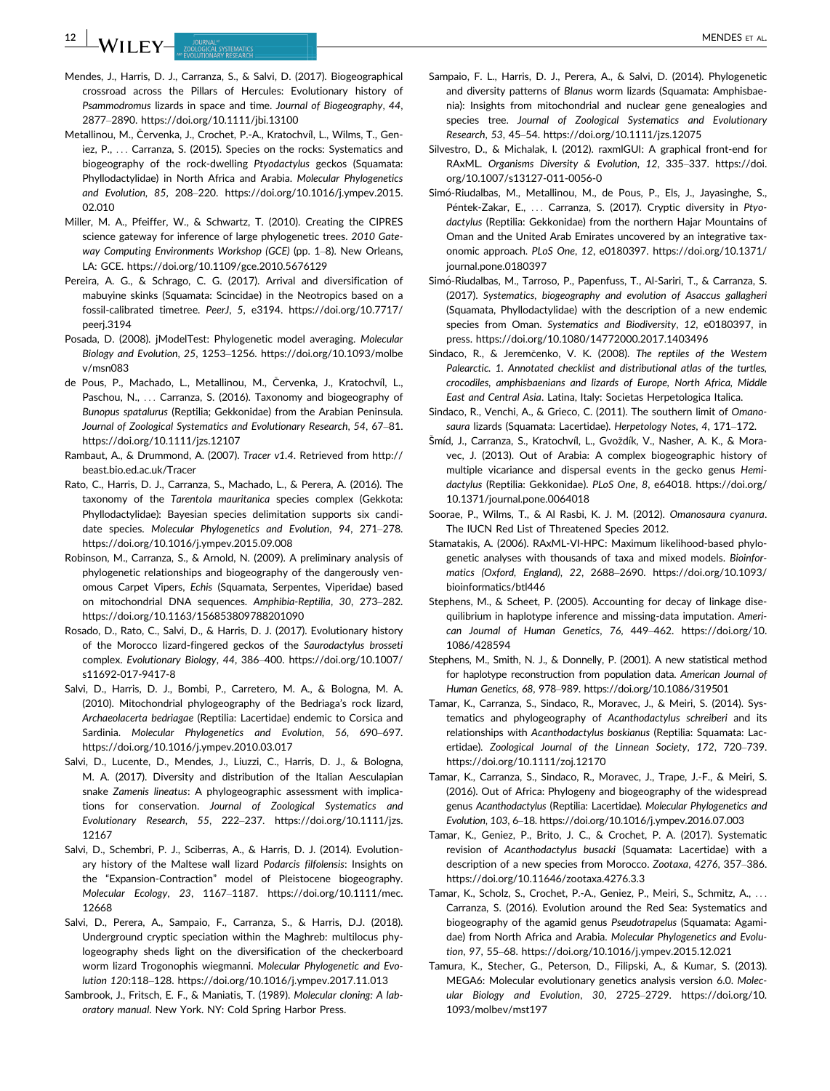12 | MATTLE V DURNAL" **DURNAL DEN ET AL.** 

- Mendes, J., Harris, D. J., Carranza, S., & Salvi, D. (2017). Biogeographical crossroad across the Pillars of Hercules: Evolutionary history of Psammodromus lizards in space and time. Journal of Biogeography, 44, 2877–2890.<https://doi.org/10.1111/jbi.13100>
- Metallinou, M., Červenka, J., Crochet, P.-A., Kratochvíl, L., Wilms, T., Geniez, P., ... Carranza, S. (2015). Species on the rocks: Systematics and biogeography of the rock-dwelling Ptyodactylus geckos (Squamata: Phyllodactylidae) in North Africa and Arabia. Molecular Phylogenetics and Evolution, 85, 208–220. [https://doi.org/10.1016/j.ympev.2015.](https://doi.org/10.1016/j.ympev.2015.02.010) [02.010](https://doi.org/10.1016/j.ympev.2015.02.010)
- Miller, M. A., Pfeiffer, W., & Schwartz, T. (2010). Creating the CIPRES science gateway for inference of large phylogenetic trees. 2010 Gateway Computing Environments Workshop (GCE) (pp. 1–8). New Orleans, LA: GCE.<https://doi.org/10.1109/gce.2010.5676129>
- Pereira, A. G., & Schrago, C. G. (2017). Arrival and diversification of mabuyine skinks (Squamata: Scincidae) in the Neotropics based on a fossil-calibrated timetree. PeerJ, 5, e3194. [https://doi.org/10.7717/](https://doi.org/10.7717/peerj.3194) [peerj.3194](https://doi.org/10.7717/peerj.3194)
- Posada, D. (2008). jModelTest: Phylogenetic model averaging. Molecular Biology and Evolution, 25, 1253–1256. [https://doi.org/10.1093/molbe](https://doi.org/10.1093/molbev/msn083) [v/msn083](https://doi.org/10.1093/molbev/msn083)
- de Pous, P., Machado, L., Metallinou, M., Červenka, J., Kratochvíl, L., Paschou, N., ... Carranza, S. (2016). Taxonomy and biogeography of Bunopus spatalurus (Reptilia; Gekkonidae) from the Arabian Peninsula. Journal of Zoological Systematics and Evolutionary Research, 54, 67–81. <https://doi.org/10.1111/jzs.12107>
- Rambaut, A., & Drummond, A. (2007). Tracer v1.4. Retrieved from [http://](http://beast.bio.ed.ac.uk/Tracer) [beast.bio.ed.ac.uk/Tracer](http://beast.bio.ed.ac.uk/Tracer)
- Rato, C., Harris, D. J., Carranza, S., Machado, L., & Perera, A. (2016). The taxonomy of the Tarentola mauritanica species complex (Gekkota: Phyllodactylidae): Bayesian species delimitation supports six candidate species. Molecular Phylogenetics and Evolution, 94, 271–278. <https://doi.org/10.1016/j.ympev.2015.09.008>
- Robinson, M., Carranza, S., & Arnold, N. (2009). A preliminary analysis of phylogenetic relationships and biogeography of the dangerously venomous Carpet Vipers, Echis (Squamata, Serpentes, Viperidae) based on mitochondrial DNA sequences. Amphibia-Reptilia, 30, 273–282. <https://doi.org/10.1163/156853809788201090>
- Rosado, D., Rato, C., Salvi, D., & Harris, D. J. (2017). Evolutionary history of the Morocco lizard-fingered geckos of the Saurodactylus brosseti complex. Evolutionary Biology, 44, 386–400. [https://doi.org/10.1007/](https://doi.org/10.1007/s11692-017-9417-8) [s11692-017-9417-8](https://doi.org/10.1007/s11692-017-9417-8)
- Salvi, D., Harris, D. J., Bombi, P., Carretero, M. A., & Bologna, M. A. (2010). Mitochondrial phylogeography of the Bedriaga's rock lizard, Archaeolacerta bedriagae (Reptilia: Lacertidae) endemic to Corsica and Sardinia. Molecular Phylogenetics and Evolution, 56, 690–697. <https://doi.org/10.1016/j.ympev.2010.03.017>
- Salvi, D., Lucente, D., Mendes, J., Liuzzi, C., Harris, D. J., & Bologna, M. A. (2017). Diversity and distribution of the Italian Aesculapian snake Zamenis lineatus: A phylogeographic assessment with implications for conservation. Journal of Zoological Systematics and Evolutionary Research, 55, 222–237. [https://doi.org/10.1111/jzs.](https://doi.org/10.1111/jzs.12167) [12167](https://doi.org/10.1111/jzs.12167)
- Salvi, D., Schembri, P. J., Sciberras, A., & Harris, D. J. (2014). Evolutionary history of the Maltese wall lizard Podarcis filfolensis: Insights on the "Expansion-Contraction" model of Pleistocene biogeography. Molecular Ecology, 23, 1167–1187. [https://doi.org/10.1111/mec.](https://doi.org/10.1111/mec.12668) [12668](https://doi.org/10.1111/mec.12668)
- Salvi, D., Perera, A., Sampaio, F., Carranza, S., & Harris, D.J. (2018). Underground cryptic speciation within the Maghreb: multilocus phylogeography sheds light on the diversification of the checkerboard worm lizard Trogonophis wiegmanni. Molecular Phylogenetic and Evolution 120:118–128.<https://doi.org/10.1016/j.ympev.2017.11.013>
- Sambrook, J., Fritsch, E. F., & Maniatis, T. (1989). Molecular cloning: A laboratory manual. New York. NY: Cold Spring Harbor Press.
- Sampaio, F. L., Harris, D. J., Perera, A., & Salvi, D. (2014). Phylogenetic and diversity patterns of Blanus worm lizards (Squamata: Amphisbaenia): Insights from mitochondrial and nuclear gene genealogies and species tree. Journal of Zoological Systematics and Evolutionary Research, 53, 45–54.<https://doi.org/10.1111/jzs.12075>
- Silvestro, D., & Michalak, I. (2012). raxmlGUI: A graphical front-end for RAxML. Organisms Diversity & Evolution, 12, 335–337. [https://doi.](https://doi.org/10.1007/s13127-011-0056-0) [org/10.1007/s13127-011-0056-0](https://doi.org/10.1007/s13127-011-0056-0)
- Simó-Riudalbas, M., Metallinou, M., de Pous, P., Els, J., Jayasinghe, S., Péntek-Zakar, E., ... Carranza, S. (2017). Cryptic diversity in Ptyodactylus (Reptilia: Gekkonidae) from the northern Hajar Mountains of Oman and the United Arab Emirates uncovered by an integrative taxonomic approach. PLoS One, 12, e0180397. [https://doi.org/10.1371/](https://doi.org/10.1371/journal.pone.0180397) [journal.pone.0180397](https://doi.org/10.1371/journal.pone.0180397)
- Simó-Riudalbas, M., Tarroso, P., Papenfuss, T., Al-Sariri, T., & Carranza, S. (2017). Systematics, biogeography and evolution of Asaccus gallagheri (Squamata, Phyllodactylidae) with the description of a new endemic species from Oman. Systematics and Biodiversity, 12, e0180397, in press.<https://doi.org/10.1080/14772000.2017.1403496>
- Sindaco, R., & Jeremčenko, V. K. (2008). The reptiles of the Western Palearctic. 1. Annotated checklist and distributional atlas of the turtles, crocodiles, amphisbaenians and lizards of Europe, North Africa, Middle East and Central Asia. Latina, Italy: Societas Herpetologica Italica.
- Sindaco, R., Venchi, A., & Grieco, C. (2011). The southern limit of Omanosaura lizards (Squamata: Lacertidae). Herpetology Notes, 4, 171–172.
- Šmíd, J., Carranza, S., Kratochvíl, L., Gvoždík, V., Nasher, A. K., & Moravec, J. (2013). Out of Arabia: A complex biogeographic history of multiple vicariance and dispersal events in the gecko genus Hemidactylus (Reptilia: Gekkonidae). PLoS One, 8, e64018. [https://doi.org/](https://doi.org/10.1371/journal.pone.0064018) [10.1371/journal.pone.0064018](https://doi.org/10.1371/journal.pone.0064018)
- Soorae, P., Wilms, T., & Al Rasbi, K. J. M. (2012). Omanosaura cyanura. The IUCN Red List of Threatened Species 2012.
- Stamatakis, A. (2006). RAxML-VI-HPC: Maximum likelihood-based phylogenetic analyses with thousands of taxa and mixed models. Bioinformatics (Oxford, England), 22, 2688–2690. [https://doi.org/10.1093/](https://doi.org/10.1093/bioinformatics/btl446) [bioinformatics/btl446](https://doi.org/10.1093/bioinformatics/btl446)
- Stephens, M., & Scheet, P. (2005). Accounting for decay of linkage disequilibrium in haplotype inference and missing-data imputation. American Journal of Human Genetics, 76, 449–462. [https://doi.org/10.](https://doi.org/10.1086/428594) [1086/428594](https://doi.org/10.1086/428594)
- Stephens, M., Smith, N. J., & Donnelly, P. (2001). A new statistical method for haplotype reconstruction from population data. American Journal of Human Genetics, 68, 978–989.<https://doi.org/10.1086/319501>
- Tamar, K., Carranza, S., Sindaco, R., Moravec, J., & Meiri, S. (2014). Systematics and phylogeography of Acanthodactylus schreiberi and its relationships with Acanthodactylus boskianus (Reptilia: Squamata: Lacertidae). Zoological Journal of the Linnean Society, 172, 720–739. <https://doi.org/10.1111/zoj.12170>
- Tamar, K., Carranza, S., Sindaco, R., Moravec, J., Trape, J.-F., & Meiri, S. (2016). Out of Africa: Phylogeny and biogeography of the widespread genus Acanthodactylus (Reptilia: Lacertidae). Molecular Phylogenetics and Evolution, 103, 6–18.<https://doi.org/10.1016/j.ympev.2016.07.003>
- Tamar, K., Geniez, P., Brito, J. C., & Crochet, P. A. (2017). Systematic revision of Acanthodactylus busacki (Squamata: Lacertidae) with a description of a new species from Morocco. Zootaxa, 4276, 357–386. <https://doi.org/10.11646/zootaxa.4276.3.3>
- Tamar, K., Scholz, S., Crochet, P.-A., Geniez, P., Meiri, S., Schmitz, A., ... Carranza, S. (2016). Evolution around the Red Sea: Systematics and biogeography of the agamid genus Pseudotrapelus (Squamata: Agamidae) from North Africa and Arabia. Molecular Phylogenetics and Evolution, 97, 55–68.<https://doi.org/10.1016/j.ympev.2015.12.021>
- Tamura, K., Stecher, G., Peterson, D., Filipski, A., & Kumar, S. (2013). MEGA6: Molecular evolutionary genetics analysis version 6.0. Molecular Biology and Evolution, 30, 2725–2729. [https://doi.org/10.](https://doi.org/10.1093/molbev/mst197) [1093/molbev/mst197](https://doi.org/10.1093/molbev/mst197)